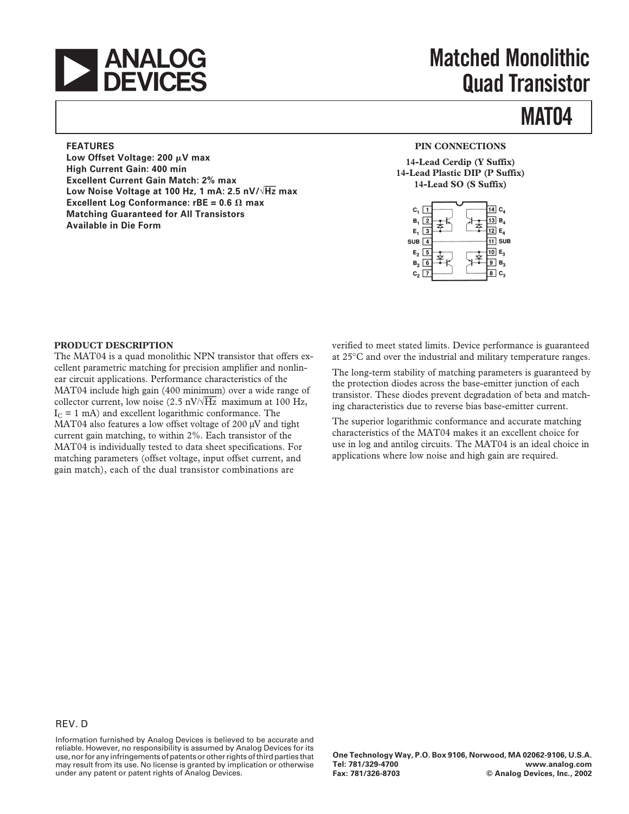

# **Matched Monolithic Quad Transistor**

## **MAT04**

#### **FEATURES**

Low Offset Voltage: 200 µV max **High Current Gain: 400 min Excellent Current Gain Match: 2% max Low Noise Voltage at 100 Hz, 1 mA: 2.5 nV/**√**Hz max Excellent Log Conformance: rBE = 0.6**  $\Omega$  **max Matching Guaranteed for All Transistors Available in Die Form**

#### **PIN CONNECTIONS**

**14-Lead Cerdip (Y Suffix) 14-Lead Plastic DIP (P Suffix) 14-Lead SO (S Suffix)**



#### **PRODUCT DESCRIPTION**

The MAT04 is a quad monolithic NPN transistor that offers excellent parametric matching for precision amplifier and nonlinear circuit applications. Performance characteristics of the MAT04 include high gain (400 minimum) over a wide range of collector current, low noise (2.5 nV/ $\sqrt{Hz}$  maximum at 100 Hz,  $I_c = 1$  mA) and excellent logarithmic conformance. The MAT04 also features a low offset voltage of 200 µV and tight current gain matching, to within 2%. Each transistor of the MAT04 is individually tested to data sheet specifications. For matching parameters (offset voltage, input offset current, and gain match), each of the dual transistor combinations are

verified to meet stated limits. Device performance is guaranteed at 25°C and over the industrial and military temperature ranges.

The long-term stability of matching parameters is guaranteed by the protection diodes across the base-emitter junction of each transistor. These diodes prevent degradation of beta and matching characteristics due to reverse bias base-emitter current.

The superior logarithmic conformance and accurate matching characteristics of the MAT04 makes it an excellent choice for use in log and antilog circuits. The MAT04 is an ideal choice in applications where low noise and high gain are required.

Information furnished by Analog Devices is believed to be accurate and reliable. However, no responsibility is assumed by Analog Devices for its use, nor for any infringements of patents or other rights of third parties that may result from its use. No license is granted by implication or otherwise under any patent or patent rights of Analog Devices.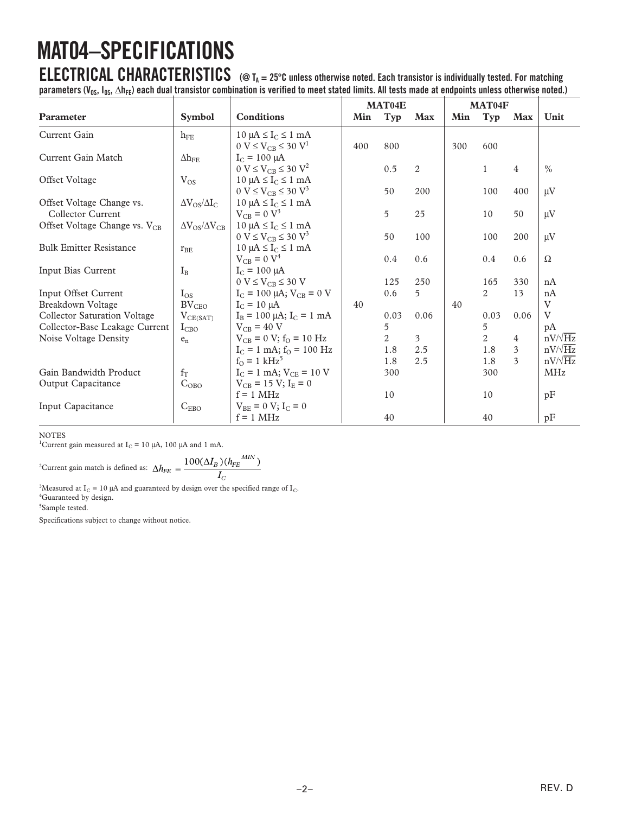# **MAT04–SPECIFICATIONS**

**ELECTRICAL CHARACTERISTICS (@ TA = 25C unless otherwise noted. Each transistor is individually tested. For matching** parameters (V<sub>OS</sub>, I<sub>OS</sub>, ∆h<sub>FE</sub>) each dual transistor combination is verified to meet stated limits. All tests made at endpoints unless otherwise noted.)

|                                           |                               |                                                      | MAT04E |      |                | MAT04F |                |                |                |
|-------------------------------------------|-------------------------------|------------------------------------------------------|--------|------|----------------|--------|----------------|----------------|----------------|
| <b>Parameter</b>                          | <b>Symbol</b>                 | <b>Conditions</b>                                    | Min    | Typ  | <b>Max</b>     | Min    | Typ            | Max            | Unit           |
| Current Gain                              | $h_{FE}$                      | $10 \mu A \le I_C \le 1 mA$                          |        |      |                |        |                |                |                |
|                                           |                               | $0 \text{ V} \leq V_{CB} \leq 30 \text{ V}^1$        | 400    | 800  |                | 300    | 600            |                |                |
| Current Gain Match                        | $\Delta h_{\rm FE}$           | $I_C = 100 \mu A$                                    |        |      |                |        |                |                |                |
|                                           |                               | $0 \text{ V} \leq V_{CR} \leq 30 \text{ V}^2$        |        | 0.5  | $\overline{2}$ |        | 1              | 4              | $\frac{0}{0}$  |
| Offset Voltage                            | $V_{OS}$                      | $10 \mu A \leq I_C \leq 1 mA$                        |        |      |                |        |                |                |                |
|                                           |                               | $0 \text{ V} \leq V_{CB} \leq 30 \text{ V}^3$        |        | 50   | 200            |        | 100            | 400            | $\mu$ V        |
| Offset Voltage Change vs.                 | $\Delta V_{OS}/\Delta I_C$    | $10 \mu A \leq I_C \leq 1 \text{ mA}$                |        |      |                |        |                |                |                |
| Collector Current                         |                               | $V_{CB} = 0 V^3$                                     |        | 5    | 25             |        | 10             | 50             | $\mu$ V        |
| Offset Voltage Change vs. V <sub>CB</sub> | $\Delta V_{OS}/\Delta V_{CB}$ | $10 \mu A \le I_C \le 1 mA$                          |        |      |                |        |                |                |                |
|                                           |                               | $0 \text{ V} \leq \text{V}_{CB} \leq 30 \text{ V}^3$ |        | 50   | 100            |        | 100            | 200            | $\mu V$        |
| <b>Bulk Emitter Resistance</b>            | $r_{\rm BE}$                  | $10 \mu A \leq I_C \leq 1 mA$                        |        |      |                |        |                |                |                |
|                                           |                               | $V_{CB} = 0 V^4$                                     |        | 0.4  | 0.6            |        | 0.4            | 0.6            | $\Omega$       |
| Input Bias Current                        | $I_{B}$                       | $I_C = 100 \mu A$                                    |        |      |                |        |                |                |                |
|                                           |                               | $0 V \leq V_{CB} \leq 30 V$                          |        | 125  | 250            |        | 165            | 330            | nA             |
| Input Offset Current                      | $I_{OS}$                      | $I_C = 100 \mu A$ ; $V_{CB} = 0 V$                   |        | 0.6  | 5              |        | 2              | 13             | nA             |
| Breakdown Voltage                         | $BV_{CEO}$                    | $I_C = 10 \mu A$                                     | 40     |      |                | 40     |                |                | V              |
| <b>Collector Saturation Voltage</b>       | $V_{CE(SAT)}$                 | $I_B = 100 \mu A$ ; $I_C = 1 mA$                     |        | 0.03 | 0.06           |        | 0.03           | 0.06           | $\rm V$        |
| Collector-Base Leakage Current            | $I_{CBO}$                     | $V_{CB} = 40 V$                                      |        | 5    |                |        | 5              |                | pA             |
| Noise Voltage Density                     | $\mathsf{e}_{\mathsf{n}}$     | $V_{CB} = 0 V$ ; $f_{O} = 10 Hz$                     |        | 2    | $\mathfrak{Z}$ |        | $\overline{2}$ | $\overline{4}$ | $nV/\sqrt{Hz}$ |
|                                           |                               | $I_C = 1$ mA; $f_Q = 100$ Hz                         |        | 1.8  | 2.5            |        | 1.8            | 3              | $nV/\sqrt{Hz}$ |
|                                           |                               | $f_{O} = 1$ kHz <sup>5</sup>                         |        | 1.8  | 2.5            |        | 1.8            | 3              | $nV/\sqrt{Hz}$ |
| Gain Bandwidth Product                    | $f_T$                         | $I_C = 1$ mA; $V_{CE} = 10$ V                        |        | 300  |                |        | 300            |                | <b>MHz</b>     |
| Output Capacitance                        | $C_{OBO}$                     | $V_{CB} = 15 V; IE = 0$                              |        |      |                |        |                |                |                |
|                                           |                               | $f = 1$ MHz                                          |        | 10   |                |        | 10             |                | pF             |
| Input Capacitance                         | $C_{EBO}$                     | $V_{BE} = 0 V; I_C = 0$                              |        |      |                |        |                |                |                |
|                                           |                               | $f = 1$ MHz                                          |        | 40   |                |        | 40             |                | pF             |

NOTES

<sup>1</sup>Current gain measured at  $I_C = 10 \mu A$ , 100  $\mu A$  and 1 mA.

<sup>2</sup>Current gain match is defined as: 
$$
\Delta h_{FE} = \frac{100(\Delta I_B)(h_{FE}^{MIN})}{I_C}
$$

<sup>3</sup>Measured at I<sub>C</sub> = 10 µA and guaranteed by design over the specified range of I<sub>C</sub>. <sup>4</sup>Guaranteed by design.

5 Sample tested.

Specifications subject to change without notice.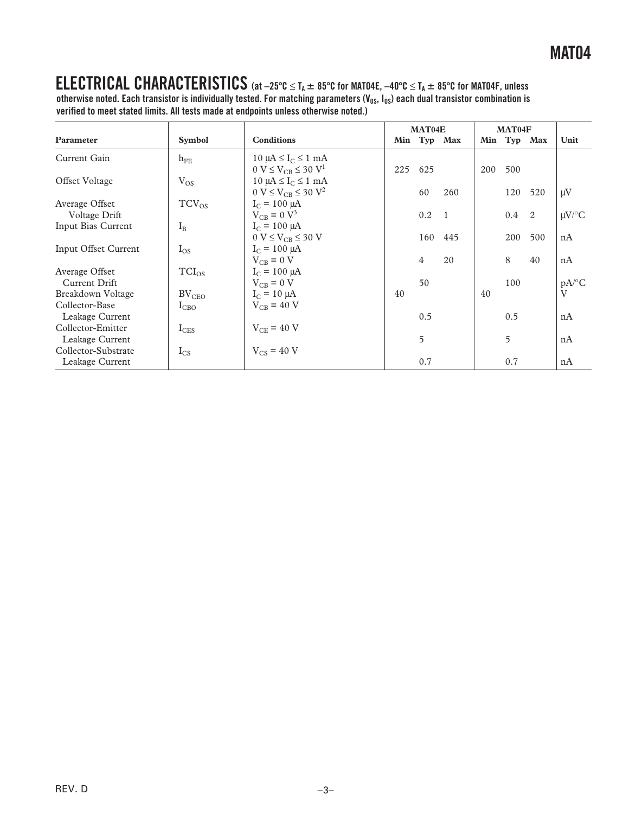### **ELECTRICAL CHARACTERISTICS**  $(\text{at } -25^{\circ} \text{C} \leq T_A \pm 85^{\circ} \text{C} \text{ for } MAT04E, -40^{\circ} \text{C} \leq T_A \pm 85^{\circ} \text{C} \text{ for } MAT04F, \text{ unless }$

otherwise noted. Each transistor is individually tested. For matching parameters (V<sub>OS</sub>, I<sub>OS</sub>) each dual transistor combination is **verified to meet stated limits. All tests made at endpoints unless otherwise noted.)**

|                                        |               |                                                                                        |     | MAT04E         |                |     | MAT04F |             |                     |
|----------------------------------------|---------------|----------------------------------------------------------------------------------------|-----|----------------|----------------|-----|--------|-------------|---------------------|
| Parameter                              | <b>Symbol</b> | <b>Conditions</b>                                                                      |     | Min Typ Max    |                |     |        | Min Typ Max | Unit                |
| Current Gain                           | $h_{FE}$      | $10 \mu A \leq I_C \leq 1 \mu A$<br>$0 \text{ V} \leq V_{CB} \leq 30 \text{ V}^1$      | 225 | 625            |                | 200 | 500    |             |                     |
| Offset Voltage                         | $V_{OS}$      | $10 \mu A \leq I_C \leq 1 \text{ mA}$<br>$0 \text{ V} \leq V_{CB} \leq 30 \text{ V}^2$ |     | 60             | 260            |     | 120    | 520         | $\mu$ V             |
| Average Offset<br>Voltage Drift        | $TCV_{OS}$    | $I_C = 100 \mu A$<br>$V_{CB} = 0 V^3$                                                  |     | 0.2            | $\overline{1}$ |     | 0.4    | -2          | $\mu$ V/°C          |
| Input Bias Current                     | $I_{\rm B}$   | $I_C = 100 \mu A$<br>$0 V \leq V_{CB} \leq 30 V$                                       |     | 160            | 445            |     | 200    | 500         | nA                  |
| Input Offset Current                   | $I_{OS}$      | $I_C = 100 \mu A$<br>$V_{CR} = 0 V$                                                    |     | $\overline{4}$ | 20             |     | 8      | 40          | nA                  |
| Average Offset<br>Current Drift        | $TCI_{OS}$    | $I_C = 100 \mu A$<br>$V_{CB} = 0 V$                                                    |     | 50             |                |     | 100    |             | $pA$ <sup>o</sup> C |
| Breakdown Voltage<br>Collector-Base    | $BV_{CEO}$    | $I_C = 10 \mu A$<br>$V_{CB}$ = 40 V                                                    | 40  |                |                | 40  |        |             | $\rm V$             |
| Leakage Current                        | $I_{CBO}$     |                                                                                        |     | 0.5            |                |     | 0.5    |             | nA                  |
| Collector-Emitter<br>Leakage Current   | $I_{CES}$     | $V_{CE}$ = 40 V                                                                        |     | 5              |                |     | 5      |             | nA                  |
| Collector-Substrate<br>Leakage Current | $I_{CS}$      | $V_{CS}$ = 40 V                                                                        |     | 0.7            |                |     | 0.7    |             | nA                  |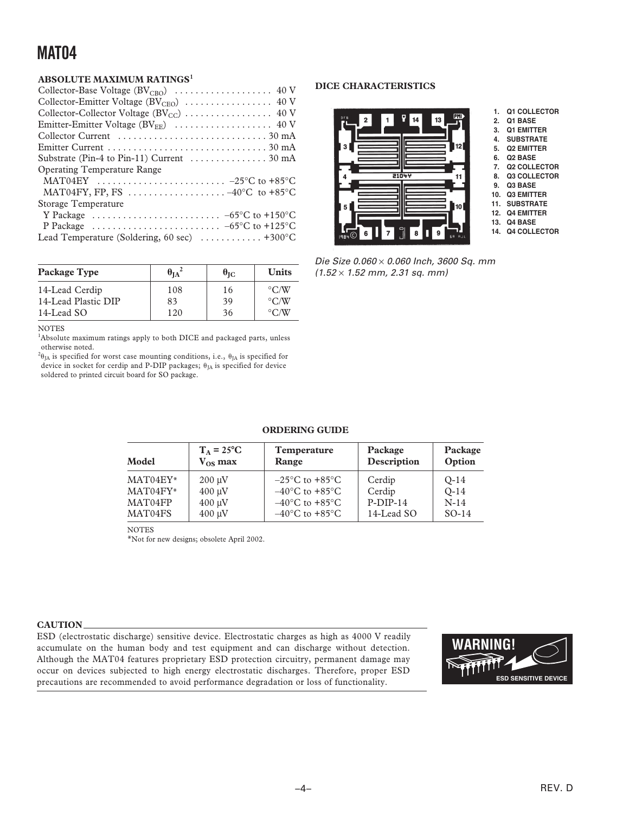### **ABSOLUTE MAXIMUM RATINGS<sup>1</sup>**

| <b>Operating Temperature Range</b>                                                         |
|--------------------------------------------------------------------------------------------|
| MAT04EY $\ldots \ldots \ldots \ldots \ldots \ldots \ldots \ldots -25^{\circ}C$ to +85°C    |
| MAT04FY, FP, FS $\ldots \ldots \ldots \ldots \ldots -40$ °C to +85°C                       |
| Storage Temperature                                                                        |
| Y Package $\ldots \ldots \ldots \ldots \ldots \ldots \ldots \ldots -65^{\circ}C$ to +150°C |
| P Package $\ldots \ldots \ldots \ldots \ldots \ldots \ldots \ldots -65^{\circ}C$ to +125°C |
| Lead Temperature (Soldering, 60 sec)  +300°C                                               |
|                                                                                            |

| Package Type        | $\theta_{IA}^2$ | $\theta_{\rm IC}$ | <b>Units</b>          |
|---------------------|-----------------|-------------------|-----------------------|
| 14-Lead Cerdip      | 108             | 16                | $\rm ^{\circ}$ C/W    |
| 14-Lead Plastic DIP | 83              | 39                | $\rm ^{\circ}$ C/W    |
| 14-Lead SO          | 120             | 36                | $\circ$ $\cap$ $\chi$ |

#### NOTES

<sup>1</sup>Absolute maximum ratings apply to both DICE and packaged parts, unless otherwise noted.

 $^{2}\theta_{JA}$  is specified for worst case mounting conditions, i.e.,  $\theta_{JA}$  is specified for device in socket for cerdip and P-DIP packages;  $\theta_{JA}$  is specified for device soldered to printed circuit board for SO package.

#### **DICE CHARACTERISTICS**



- **1. Q1 COLLECTOR**
- **2. Q1 BASE**
- **3. Q1 EMITTER**
- **4. SUBSTRATE**
- **5. Q2 EMITTER**
- **6. Q2 BASE 7. Q2 COLLECTOR**
- **8. Q3 COLLECTOR**
- **9. Q3 BASE**
- **10. Q3 EMITTER**
- **11. SUBSTRATE**
- **12. Q4 EMITTER**
- **13. Q4 BASE 14. Q4 COLLECTOR**

Die Size 0.060 × 0.060 Inch, 3600 Sq. mm  $(1.52 \times 1.52 \text{ mm}, 2.31 \text{ sq. mm})$ 

| Model      | $T_A = 25^{\circ}C$ | <b>Temperature</b>                 | Package     | Package |
|------------|---------------------|------------------------------------|-------------|---------|
|            | $V_{OS}$ max        | Range                              | Description | Option  |
| MAT04EY*   | $200 \mu V$         | $-25^{\circ}$ C to $+85^{\circ}$ C | Cerdip      | $O-14$  |
| $MAT04FY*$ | $400 \mu V$         | $-40^{\circ}$ C to $+85^{\circ}$ C | Cerdip      | $O-14$  |
| MAT04FP    | $400 \mu V$         | $-40^{\circ}$ C to $+85^{\circ}$ C | $P-DIP-14$  | $N-14$  |
| MAT04FS    | $400 \mu V$         | $-40^{\circ}$ C to $+85^{\circ}$ C | 14-Lead SO  | $SO-14$ |

**ORDERING GUIDE**

NOTES

\*Not for new designs; obsolete April 2002.

#### **CAUTION**

ESD (electrostatic discharge) sensitive device. Electrostatic charges as high as 4000 V readily accumulate on the human body and test equipment and can discharge without detection. Although the MAT04 features proprietary ESD protection circuitry, permanent damage may occur on devices subjected to high energy electrostatic discharges. Therefore, proper ESD precautions are recommended to avoid performance degradation or loss of functionality.

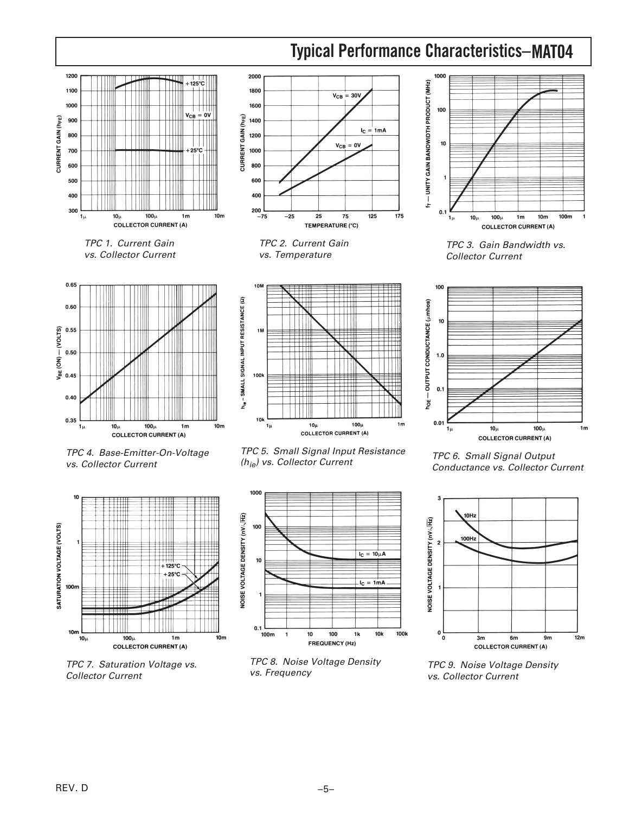



vs. Collector Current



TPC 7. Saturation Voltage vs. Collector Current

(h<sub>ie</sub>) vs. Collector Current



TPC 8. Noise Voltage Density vs. Frequency

TPC 6. Small Signal Output Conductance vs. Collector Current

100m

 $1<sub>m</sub>$ 



TPC 9. Noise Voltage Density vs. Collector Current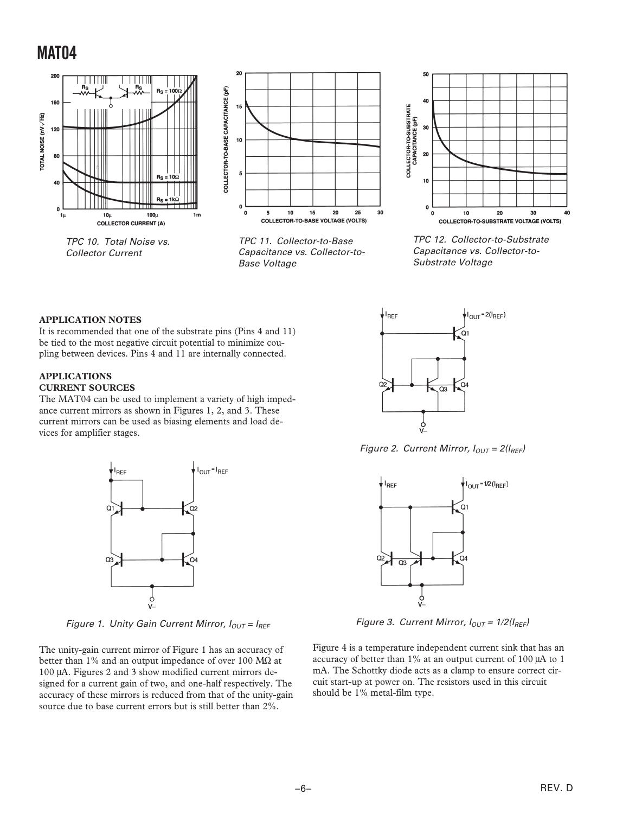

TPC 10. Total Noise vs. Collector Current



TPC 11. Collector-to-Base Capacitance vs. Collector-to-Base Voltage



TPC 12. Collector-to-Substrate Capacitance vs. Collector-to-Substrate Voltage

#### **APPLICATION NOTES**

It is recommended that one of the substrate pins (Pins 4 and 11) be tied to the most negative circuit potential to minimize coupling between devices. Pins 4 and 11 are internally connected.

#### **APPLICATIONS CURRENT SOURCES**

The MAT04 can be used to implement a variety of high impedance current mirrors as shown in Figures 1, 2, and 3. These current mirrors can be used as biasing elements and load devices for amplifier stages.



Figure 1. Unity Gain Current Mirror,  $I_{OUT} = I_{REF}$ 

The unity-gain current mirror of Figure 1 has an accuracy of better than 1% and an output impedance of over 100 M $\Omega$  at 100 µA. Figures 2 and 3 show modified current mirrors designed for a current gain of two, and one-half respectively. The accuracy of these mirrors is reduced from that of the unity-gain source due to base current errors but is still better than 2%.



Figure 2. Current Mirror,  $I_{OUT} = 2(I_{REF})$ 



Figure 3. Current Mirror,  $I_{OUT} = 1/2(I_{REF})$ 

Figure 4 is a temperature independent current sink that has an accuracy of better than 1% at an output current of 100 µA to 1 mA. The Schottky diode acts as a clamp to ensure correct circuit start-up at power on. The resistors used in this circuit should be 1% metal-film type.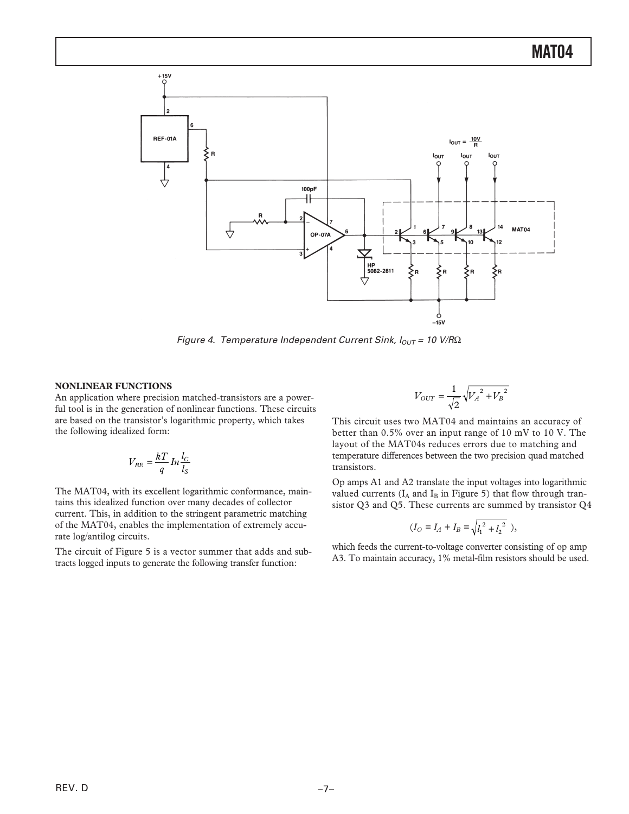

Figure 4. Temperature Independent Current Sink,  $I_{OUT} = 10$  V/R $\Omega$ 

#### **NONLINEAR FUNCTIONS**

An application where precision matched-transistors are a powerful tool is in the generation of nonlinear functions. These circuits are based on the transistor's logarithmic property, which takes the following idealized form:

$$
V_{BE} = \frac{kT}{q} \ln \frac{l_C}{l_S}
$$

The MAT04, with its excellent logarithmic conformance, maintains this idealized function over many decades of collector current. This, in addition to the stringent parametric matching of the MAT04, enables the implementation of extremely accurate log/antilog circuits.

The circuit of Figure 5 is a vector summer that adds and subtracts logged inputs to generate the following transfer function:

$$
V_{OUT} = \frac{1}{\sqrt{2}} \sqrt{{V_A}^2 + {V_B}^2}
$$

This circuit uses two MAT04 and maintains an accuracy of better than 0.5% over an input range of 10 mV to 10 V. The layout of the MAT04s reduces errors due to matching and temperature differences between the two precision quad matched transistors.

Op amps A1 and A2 translate the input voltages into logarithmic valued currents ( $I_A$  and  $I_B$  in Figure 5) that flow through transistor Q3 and Q5. These currents are summed by transistor Q4

$$
(I_O = I_A + I_B = \sqrt{l_1^2 + l_2^2}),
$$

which feeds the current-to-voltage converter consisting of op amp A3. To maintain accuracy, 1% metal-film resistors should be used.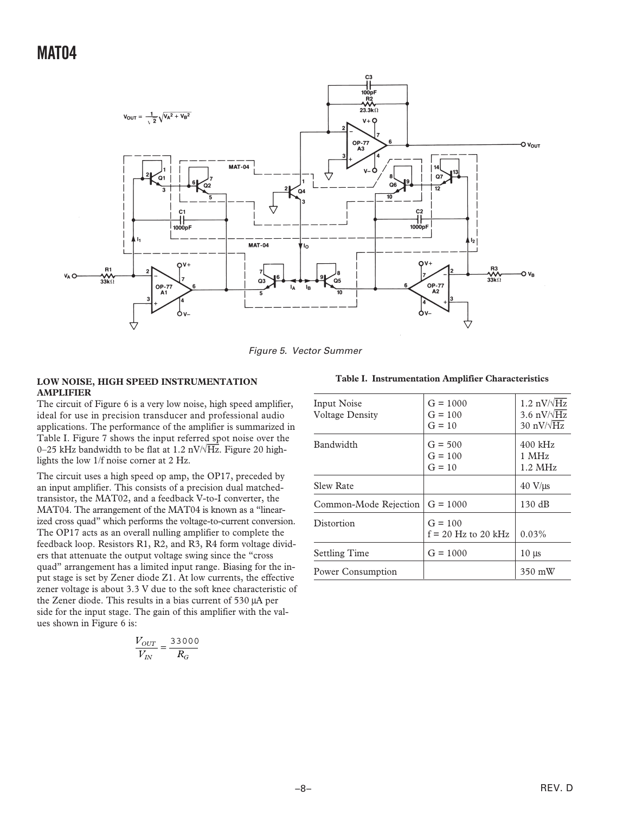

Figure 5. Vector Summer

#### **LOW NOISE, HIGH SPEED INSTRUMENTATION AMPLIFIER**

The circuit of Figure 6 is a very low noise, high speed amplifier, ideal for use in precision transducer and professional audio applications. The performance of the amplifier is summarized in Table I. Figure 7 shows the input referred spot noise over the 0–25 kHz bandwidth to be flat at 1.2 nV/√*Hz*. Figure 20 highlights the low 1/f noise corner at 2 Hz.

The circuit uses a high speed op amp, the OP17, preceded by an input amplifier. This consists of a precision dual matchedtransistor, the MAT02, and a feedback V-to-I converter, the MAT04. The arrangement of the MAT04 is known as a "linearized cross quad" which performs the voltage-to-current conversion. The OP17 acts as an overall nulling amplifier to complete the feedback loop. Resistors R1, R2, and R3, R4 form voltage dividers that attenuate the output voltage swing since the "cross quad" arrangement has a limited input range. Biasing for the input stage is set by Zener diode Z1. At low currents, the effective zener voltage is about 3.3 V due to the soft knee characteristic of the Zener diode. This results in a bias current of 530 µA per side for the input stage. The gain of this amplifier with the values shown in Figure 6 is:

$$
\frac{V_{OUT}}{V_{IN}} = \frac{33000}{R_G}
$$

|  | Table I. Instrumentation Amplifier Characteristics |  |  |
|--|----------------------------------------------------|--|--|
|--|----------------------------------------------------|--|--|

| Input Noise<br><b>Voltage Density</b> | $G = 1000$<br>$G = 100$<br>$G = 10$ | $1.2 \text{ nV}/\sqrt{\text{Hz}}$<br>3.6 $nV/\sqrt{Hz}$<br>30 nV/ $\sqrt{Hz}$ |
|---------------------------------------|-------------------------------------|-------------------------------------------------------------------------------|
| Bandwidth                             | $G = 500$<br>$G = 100$<br>$G = 10$  | $400$ kHz<br>$1$ MHz<br>$1.2 \text{ MHz}$                                     |
| <b>Slew Rate</b>                      |                                     | $40 \text{ V/}\mu\text{s}$                                                    |
| Common-Mode Rejection $ G = 1000$     |                                     | $130 \text{ dB}$                                                              |
| Distortion                            | $G = 100$<br>$f = 20$ Hz to 20 kHz  | $0.03\%$                                                                      |
| <b>Settling Time</b>                  | $G = 1000$                          | $10 \mu s$                                                                    |
| Power Consumption                     |                                     | 350 mW                                                                        |
|                                       |                                     |                                                                               |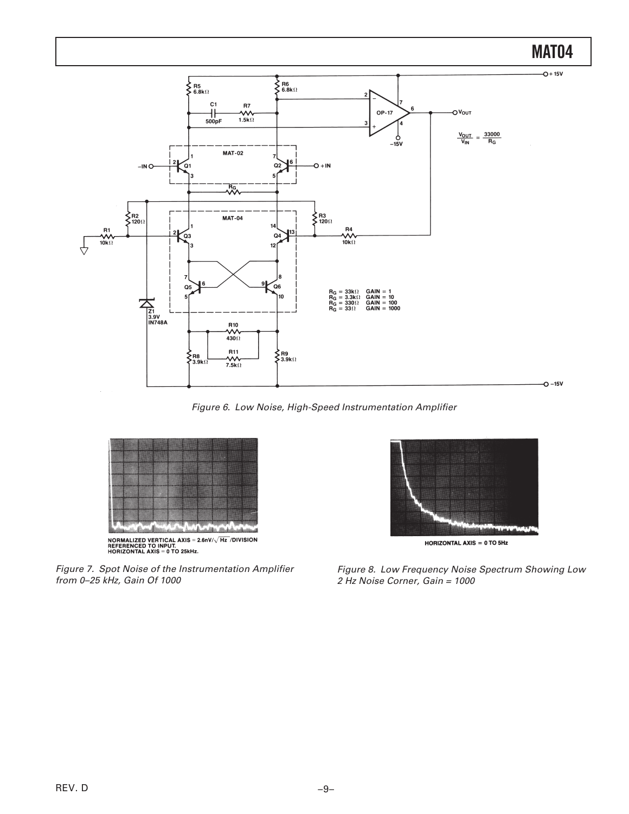

Figure 6. Low Noise, High-Speed Instrumentation Amplifier



Figure 7. Spot Noise of the Instrumentation Amplifier from 0–25 kHz, Gain Of 1000



Figure 8. Low Frequency Noise Spectrum Showing Low 2 Hz Noise Corner, Gain = 1000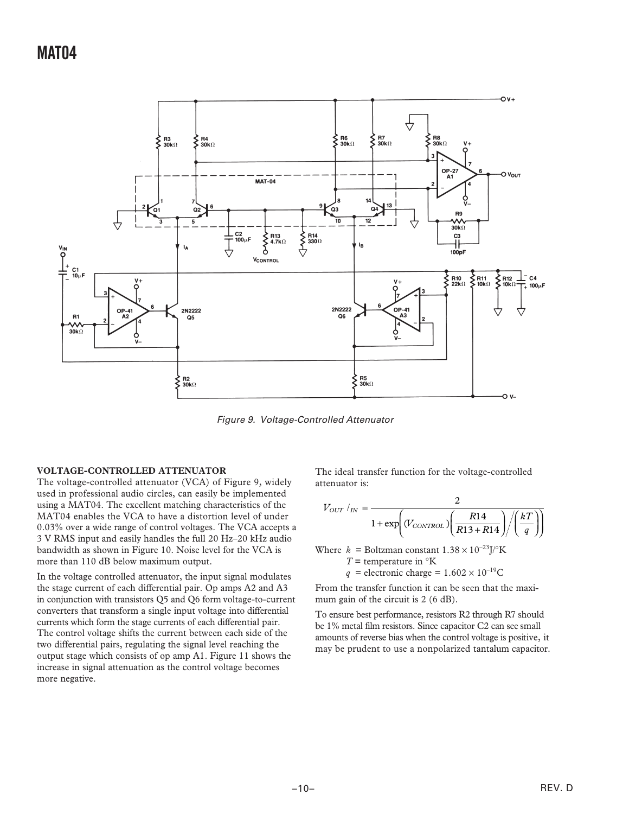

Figure 9. Voltage-Controlled Attenuator

#### **VOLTAGE-CONTROLLED ATTENUATOR**

The voltage-controlled attenuator (VCA) of Figure 9, widely used in professional audio circles, can easily be implemented using a MAT04. The excellent matching characteristics of the MAT04 enables the VCA to have a distortion level of under 0.03% over a wide range of control voltages. The VCA accepts a 3 V RMS input and easily handles the full 20 Hz–20 kHz audio bandwidth as shown in Figure 10. Noise level for the VCA is more than 110 dB below maximum output.

In the voltage controlled attenuator, the input signal modulates the stage current of each differential pair. Op amps A2 and A3 in conjunction with transistors Q5 and Q6 form voltage-to-current converters that transform a single input voltage into differential currents which form the stage currents of each differential pair. The control voltage shifts the current between each side of the two differential pairs, regulating the signal level reaching the output stage which consists of op amp A1. Figure 11 shows the increase in signal attenuation as the control voltage becomes more negative.

The ideal transfer function for the voltage-controlled attenuator is:

$$
V_{OUT} /_{IN} = \frac{2}{1 + \exp\left(V_{CONTROL}\right) \left(\frac{R14}{R13 + R14}\right) / \left(\frac{kT}{q}\right)}
$$

Where  $k =$  Boltzman constant  $1.38 \times 10^{-23}$ J/°K

- *T* = temperature in  $\mathrm{K}$
- $q$  = electronic charge =  $1.602 \times 10^{-19}$ C

From the transfer function it can be seen that the maximum gain of the circuit is 2 (6 dB).

To ensure best performance, resistors R2 through R7 should be 1% metal film resistors. Since capacitor C2 can see small amounts of reverse bias when the control voltage is positive, it may be prudent to use a nonpolarized tantalum capacitor.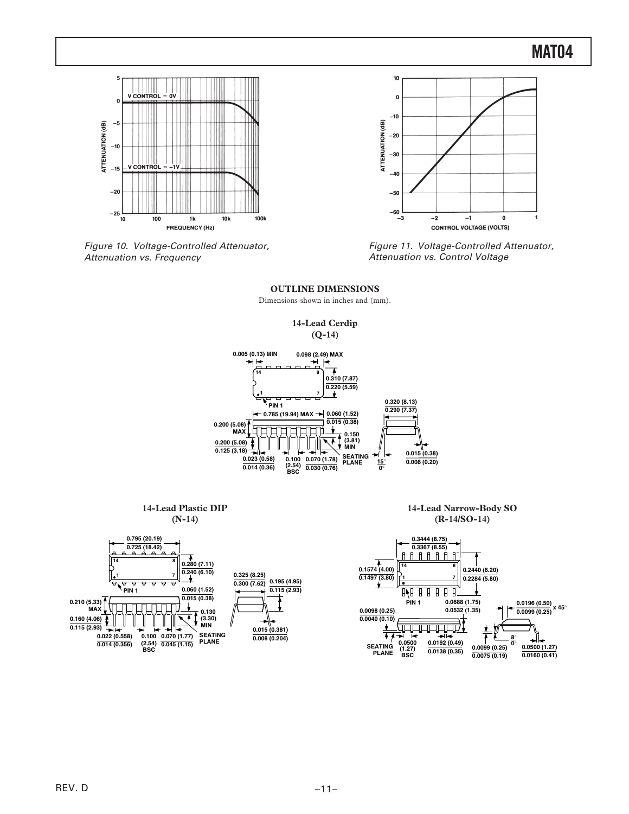

Figure 10. Voltage-Controlled Attenuator, Attenuation vs. Frequency



Figure 11. Voltage-Controlled Attenuator, Attenuation vs. Control Voltage



#### **OUTLINE DIMENSIONS**

Dimensions shown in inches and (mm).

**SEATING PLANE**

**(1.27) BSC**

**0.0138 (0.35)**

**0.0075 (0.19)**

**0.0160 (0.41)**